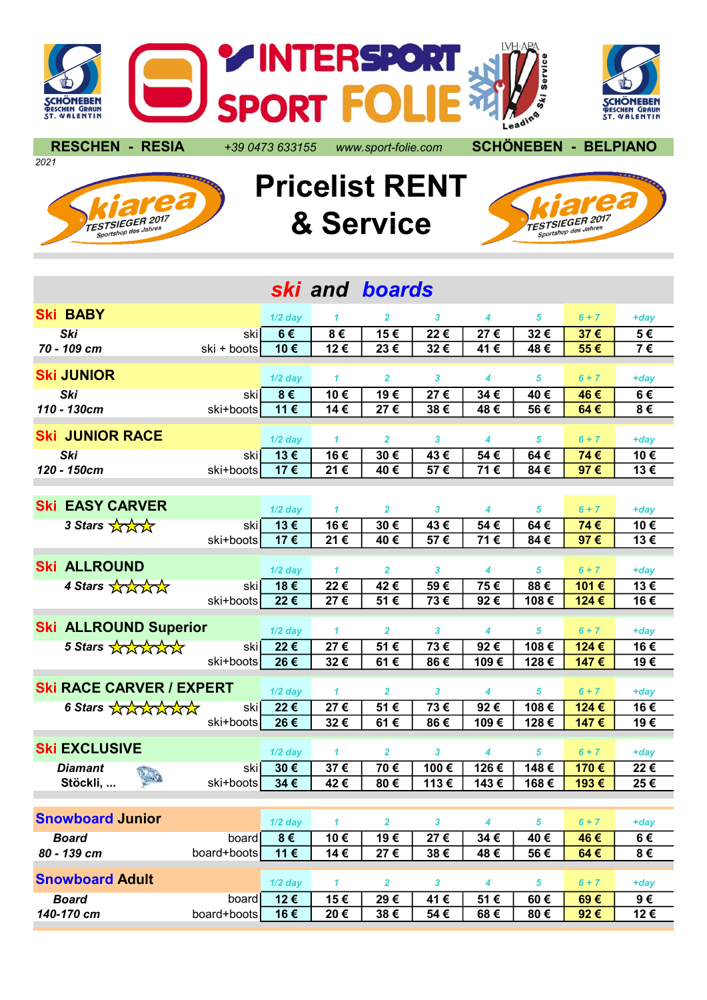

2021





## Pricelist RENT & Service



| ski and boards                      |             |           |              |                         |              |      |            |         |         |
|-------------------------------------|-------------|-----------|--------------|-------------------------|--------------|------|------------|---------|---------|
| <b>Ski BABY</b>                     |             | $1/2$ day | 1            | $\mathbf{2}$            | 3            | 4    | 5          | $6 + 7$ | +day    |
| Ski                                 | skil        | 6€        | 8€           | 15€                     | 22€          | 27€  | 32€        | 37€     | 5€      |
| 70 - 109 cm                         | ski + boots | 10€       | 12€          | 23€                     | 32€          | 41€  | 48€        | 55€     | 7€      |
|                                     |             |           |              |                         |              |      |            |         |         |
| <b>Ski JUNIOR</b>                   |             | $1/2$ day | $\mathbf{1}$ | $\overline{2}$          | $\mathbf{3}$ | 4    | 5          | $6 + 7$ | $+day$  |
| <b>Ski</b>                          | skil        | $8 \in$   | 10€          | 19€                     | 27€          | 34€  | 40€        | 46€     | 6€      |
| 110 - 130cm                         | ski+boots   | 11€       | 14€          | 27€                     | 38€          | 48€  | 56€        | 64€     | 8€      |
| <b>Ski JUNIOR RACE</b>              |             | $1/2$ day | $\mathbf{1}$ | $\overline{2}$          | 3            | 4    | 5          | $6 + 7$ | $+day$  |
| Ski                                 | skil        | 13€       | 16€          | 30€                     | 43€          | 54€  | 64€        | 74€     | 10€     |
| 120 - 150cm                         | ski+boots   | 17€       | 21€          | 40€                     | 57€          | 71€  | 84€        | 97€     | 13€     |
|                                     |             |           |              |                         |              |      |            |         |         |
| <b>EASY CARVER</b><br>Ski           |             | $1/2$ day | 1            | 2                       | 3            | 4    | 5          | $6 + 7$ | $+day$  |
| 3 Stars Aray                        | skil        | 13€       | 16€          | 30€                     | 43€          | 54€  | 64€        | 74€     | 10€     |
|                                     | ski+boots   | 17€       | 21€          | 40€                     | 57€          | 71€  | 84€        | 97€     | 13€     |
| <b>Ski ALLROUND</b>                 |             | $1/2$ day | $\mathbf{1}$ | $\overline{2}$          | 3            | 4    | 5          | $6 + 7$ | $+day$  |
| 4 Stars Arany                       | skil        | 18€       | 22€          | 42€                     | 59€          | 75€  | 88€        | 101€    | 13€     |
|                                     | ski+boots   | 22€       | 27€          | 51€                     | 73€          | 92€  | 108€       | 124€    | 16€     |
| <b>Ski ALLROUND Superior</b>        |             | $1/2$ day | 1            | $\overline{\mathbf{2}}$ | 3            | 4    | 5          | $6 + 7$ | $+day$  |
| 5 Stars Andrand                     | skil        | 22€       | 27€          | 51€                     | 73€          | 92€  | 108€       | 124€    | 16€     |
|                                     | ski+boots   | 26€       | 32€          | 61€                     | 86€          | 109€ | 128€       | 147€    | 19€     |
|                                     |             |           |              |                         |              |      |            |         |         |
| <b>Ski RACE CARVER / EXPERT</b>     |             | $1/2$ day | $\mathbf{1}$ | $\overline{\mathbf{2}}$ | 3            | 4    | 5          | $6 + 7$ | $+day$  |
| 6 Stars AAAAAA                      | skil        | 22€       | 27€          | 51€                     | 73€          | 92€  | 108€       | 124€    | 16€     |
|                                     | ski+boots   | 26€       | 32€          | 61€                     | 86€          | 109€ | 128€       | 147€    | 19€     |
| <b>Ski EXCLUSIVE</b>                |             | $1/2$ day | $\mathbf{1}$ | $\mathbf{2}$            | 3            | 4    | 5          | $6 + 7$ | $+day$  |
| <b>Diamant</b>                      | skil        | 30€       | 37€          | 70€                     | 100€         | 126€ | 148€       | 170€    | 22€     |
| Stöckli,                            | ski+boots   | 34€       | 42€          | 80€                     | 113€         | 143€ | 168€       | 193€    | 25€     |
|                                     |             |           |              |                         |              |      |            |         |         |
| <b>Snowboard Junior</b>             |             | $1/2$ day | 1            | $\overline{2}$          | $\mathbf{3}$ | 4    | 5          | $6 + 7$ | $+day$  |
| <b>Board</b>                        | board       | $8 \in$   | 10€          | 19€                     | 27€          | 34€  | 40€        | 46€     | 6€      |
| 80 - 139 cm                         | board+boots | 11€       | 14€          | 27€                     | 38€          | 48€  | 56€        | 64€     | $8 \in$ |
| <b>Snowboard Adult</b><br>$1/2$ day |             |           | 1            | $\overline{\mathbf{2}}$ | $\mathbf{3}$ | 4    | $\sqrt{5}$ | $6 + 7$ | $+day$  |
| <b>Board</b>                        | board       | 12€       | 15€          | 29€                     | 41€          | 51€  | 60€        | 69€     | $9 \in$ |
| 140-170 cm                          | board+boots | 16€       | 20€          | 38€                     | 54€          | 68€  | 80€        | 92€     | 12€     |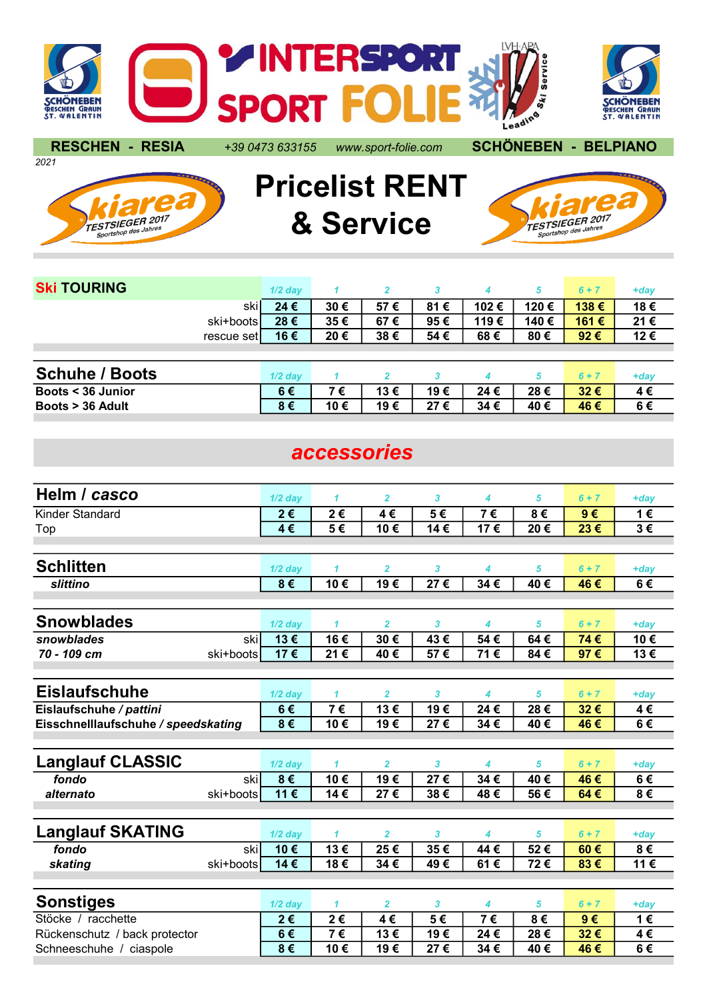

2021

RESCHEN - RESIA +39 0473 633155 www.sport-folie.com SCHÖNEBEN - BELPIANO





Pricelist RENT & Service



| <b>Ski TOURING</b>    |            | $1/2$ day |     | $\mathbf{z}$ | 3       |      | 5    | $6 + 7$       | $+day$ |
|-----------------------|------------|-----------|-----|--------------|---------|------|------|---------------|--------|
|                       | skil       | 24€       | 30€ | 57€          | 81<br>€ | 102€ | 120€ | 138€          | 18€    |
|                       | ski+boots  | 28€       | 35€ | 67€          | 95€     | 119€ | 140€ | 161€          | 21€    |
|                       | rescue set | 16€       | 20€ | 38€          | 54 €    | 68€  | 80€  | 92 $\epsilon$ | 12€    |
|                       |            |           |     |              |         |      |      |               |        |
| <b>Schuhe / Boots</b> |            | $1/2$ day |     |              |         |      | 5    | $6 + 7$       | +day   |
| Boots < 36 Junior     |            | 6€        | 7€  | 13€          | 19€     | 24€  | 28€  | 32€           | 4€     |
| Boots > 36 Adult      |            | 8€        | 10€ | 19€          | 27€     | 34€  | 40€  | 46€           | 6€     |

## accessories

| Helm / casco                        | $1/2$ day | 1              | $\overline{2}$ | 3               | 4   | 5   | $6 + 7$ | $+day$  |
|-------------------------------------|-----------|----------------|----------------|-----------------|-----|-----|---------|---------|
| Kinder Standard                     | 2€        | 2€             | 4€             | 5€              | 7€  | 8€  | $9 \in$ | 1€      |
| Top                                 | 4€        | 5€             | 10€            | 14€             | 17€ | 20€ | 23€     | $3 \in$ |
|                                     |           |                |                |                 |     |     |         |         |
| <b>Schlitten</b>                    | $1/2$ day | 1              | $\overline{2}$ | 3               | 4   | 5   | $6 + 7$ | $+day$  |
| slittino                            | 8€        | 10€            | 19€            | $\overline{27}$ | 34€ | 40€ | 46€     | 6€      |
|                                     |           |                |                |                 |     |     |         |         |
| <b>Snowblades</b>                   | $1/2$ day | 1              | $\overline{2}$ | 3               | 4   | 5   | $6 + 7$ | $+day$  |
| snowblades<br>ski                   | 13€       | 16€            | 30€            | 43€             | 54€ | 64€ | 74€     | 10€     |
| 70 - 109 cm<br>ski+boots            | 17€       | 21€            | 40€            | 57€             | 71€ | 84€ | 97€     | 13€     |
|                                     |           |                |                |                 |     |     |         |         |
| <b>Eislaufschuhe</b>                | $1/2$ day | $\mathbf{1}$   | $\overline{2}$ | 3               | 4   | 5   | $6 + 7$ | $+day$  |
| Eislaufschuhe / pattini             | 6€        | 7€             | 13€            | 19€             | 24€ | 28€ | 32€     | 4€      |
| Eisschnelllaufschuhe / speedskating | $8 \in$   | 10€            | 19€            | 27€             | 34€ | 40€ | 46€     | 6€      |
|                                     |           |                |                |                 |     |     |         |         |
| <b>Langlauf CLASSIC</b>             | $1/2$ day | $\mathbf{1}$   | $\overline{2}$ | 3               | 4   | 5   | $6 + 7$ | $+day$  |
| fondo<br>skil                       | 8€        | 10€            | 19€            | 27€             | 34€ | 40€ | 46€     | 6€      |
| alternato<br>ski+boots              | 11€       | 14€            | 27€            | 38€             | 48€ | 56€ | 64€     | $8 \in$ |
|                                     |           |                |                |                 |     |     |         |         |
| <b>Langlauf SKATING</b>             | $1/2$ day | $\mathbf{1}$   | $\overline{2}$ | 3               | 4   | 5   | $6 + 7$ | $+day$  |
| fondo<br>ski                        | 10€       | 13€            | 25€            | 35€             | 44€ | 52€ | 60€     | 8€      |
| skating<br>ski+boots                | 14€       | 18€            | 34€            | 49€             | 61€ | 72€ | 83€     | 11€     |
|                                     |           |                |                |                 |     |     |         |         |
| <b>Sonstiges</b>                    | $1/2$ day | 1              | $\overline{2}$ | 3               | 4   | 5   | $6 + 7$ | $+day$  |
| Stöcke / racchette                  | 2€        | 2€             | 4€             | 5€              | 7€  | 8€  | $9 \in$ | 1€      |
| Rückenschutz / back protector       | 6€        | $\overline{7}$ | 13€            | 19€             | 24€ | 28€ | 32€     | 4€      |
| Schneeschuhe / ciaspole             | 8€        | 10€            | 19€            | 27€             | 34€ | 40€ | 46€     | 6€      |